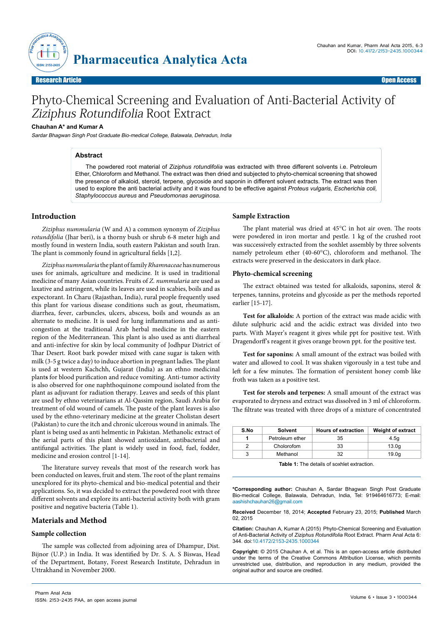

# Phyto-Chemical Screening and Evaluation of Anti-Bacterial Activity of Ziziphus Rotundifolia Root Extract

## **Chauhan A\* and Kumar A**

Sardar Bhagwan Singh Post Graduate Bio-medical College, Balawala, Dehradun, India

## **Abstract**

The powdered root material of *Ziziphus rotundifolia* was extracted with three different solvents i.e. Petroleum Ether, Chloroform and Methanol. The extract was then dried and subjected to phyto-chemical screening that showed the presence of alkaloid, steroid, terpene, glycoside and saponin in different solvent extracts. The extract was then used to explore the anti bacterial activity and it was found to be effective against *Proteus vulgaris, Escherichia coli, Staphylococcus aureus* and *Pseudomonas aeruginosa.* 

## **Introduction**

*Ziziphus nummularia* (W and A) a common synonym of *Ziziphus rotundifolia* (Jhar beri), is a thorny bush or shrub 6-8 meter high and mostly found in western [India](http://en.wikipedia.org/wiki/India), south eastern [Pakistan](http://en.wikipedia.org/wiki/Pakistan) and south [Iran](http://en.wikipedia.org/wiki/Iran). The plant is commonly found in agricultural fields [1,2].

*Ziziphus nummularia* the plant of family *Rhamnaceae* has numerous uses for animals, agriculture and medicine. It is used in traditional medicine of many Asian countries. Fruits of *Z. nummularia* are used as laxative and astringent, while its leaves are used in scabies, boils and as expectorant. In Charu (Rajasthan, India), rural people frequently used this plant for various disease conditions such as gout, rheumatism, diarrhea, fever, carbuncles, ulcers, abscess, boils and wounds as an alternate to medicine. It is used for lung inflammations and as anticongestion at the traditional Arab herbal medicine in the eastern region of the Mediterranean. This plant is also used as anti diarrheal and anti-infective for skin by local community of Jodhpur District of Thar Desert. Root bark powder mixed with cane sugar is taken with milk (3-5 g twice a day) to induce abortion in pregnant ladies. The plant is used at western Kachchh, Gujarat (India) as an ethno [medicinal](http://www.scialert.net/asci/result.php?searchin=Keywords&cat=&ascicat=ALL&Submit=Search&keyword=medicinal+plant) [plant](http://www.scialert.net/asci/result.php?searchin=Keywords&cat=&ascicat=ALL&Submit=Search&keyword=medicinal+plant)**s** for blood purification and reduce vomiting. Anti-tumor activity is also observed for one naphthoquinone compound isolated from the plant as adjuvant for radiation therapy. Leaves and seeds of this plant are used by ethno veterinarians at Al-Qassim region, Saudi Arabia for treatment of old wound of camels. The paste of the plant leaves is also used by the ethno-veterinary medicine at the greater Cholistan desert (Pakistan) to cure the itch and chronic ulcerous wound in animals. The plant is being used as anti helmentic in Pakistan. M[ethanolic extract](http://www.scialert.net/asci/result.php?searchin=Keywords&cat=&ascicat=ALL&Submit=Search&keyword=ethanolic+extract) of the aerial parts of this plant showed antioxidant, antibacterial and antifungal activities. The plant is widely used in food, fuel, fodder, medicine and erosion control [1-14].

The literature survey reveals that most of the research work has been conducted on leaves, fruit and stem. The root of the plant remains unexplored for its phyto-chemical and bio-medical potential and their applications. So, it was decided to extract the powdered root with three different solvents and explore its anti-bacterial activity both with gram positive and negative bacteria (Table 1).

### **Materials and Method**

## **Sample collection**

The sample was collected from adjoining area of Dhampur, Dist. Bijnor (U.P.) in India. It was identified by Dr. S. A. S Biswas, Head of the Department, Botany, Forest Research Institute, Dehradun in Uttrakhand in November 2000.

#### **Sample Extraction**

The plant material was dried at 45°C in hot air oven. The roots were powdered in iron mortar and pestle. 1 kg of the crushed root was successively extracted from the soxhlet assembly by three solvents namely petroleum ether (40-60°C), chloroform and methanol. The extracts were preserved in the desiccators in dark place.

### **Phyto-chemical screening**

The extract obtained was tested for alkaloids, saponins, sterol & terpenes, tannins, proteins and glycoside as per the methods reported earlier [15-17].

**Test for alkaloids:** A portion of the extract was made acidic with dilute sulphuric acid and the acidic extract was divided into two parts. With Mayer's reagent it gives while ppt for positive test. With Dragendorff's reagent it gives orange brown ppt. for the positive test.

**Test for saponins:** A small amount of the extract was boiled with water and allowed to cool. It was shaken vigorously in a test tube and left for a few minutes. The formation of persistent honey comb like froth was taken as a positive test.

**Test for sterols and terpenes:** A small amount of the extract was evaporated to dryness and extract was dissolved in 3 ml of chloroform. The filtrate was treated with three drops of a mixture of concentrated

| S.No | <b>Solvent</b>  | <b>Hours of extraction</b> | <b>Weight of extract</b> |
|------|-----------------|----------------------------|--------------------------|
|      | Petroleum ether | 35                         | 4.5q                     |
|      | Cholorofom      | 33                         | 13.0 <sub>q</sub>        |
|      | Methanol        | 32                         | 19.0q                    |

**Table 1:** The details of soxhlet extraction.

**\*Corresponding author:** Chauhan A, Sardar Bhagwan Singh Post Graduate Bio-medical College, Balawala, Dehradun, India, Tel: 919464616773; E-mail: aashishchauhan26@gmail.com

**Received** December 18, 2014; **Accepted** February 23, 2015; **Published** March 02, 2015

**Citation:** Chauhan A, Kumar A (2015) Phyto-Chemical Screening and Evaluation of Anti-Bacterial Activity of *Ziziphus Rotundifolia* Root Extract. Pharm Anal Acta 6: 344. doi:10.4172/2153-2435.1000344

**Copyright:** © 2015 Chauhan A, et al. This is an open-access article distributed under the terms of the Creative Commons Attribution License, which permits unrestricted use, distribution, and reproduction in any medium, provided the original author and source are credited.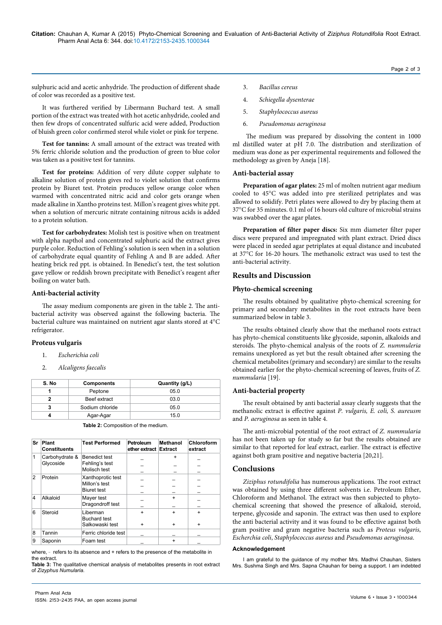sulphuric acid and acetic anhydride. The production of different shade of color was recorded as a positive test.

It was furthered verified by Libermann Buchard test. A small portion of the extract was treated with hot acetic anhydride, cooled and then few drops of concentrated sulfuric acid were added, Production of bluish green color confirmed sterol while violet or pink for terpene.

**Test for tannins:** A small amount of the extract was treated with 5% ferric chloride solution and the production of green to blue color was taken as a positive test for tannins.

**Test for proteins:** Addition of very dilute copper sulphate to alkaline solution of protein gives red to violet solution that confirms protein by Biuret test. Protein produces yellow orange color when warmed with concentrated nitric acid and color gets orange when made alkaline in Xantho proteins test. Millon's reagent gives white ppt. when a solution of mercuric nitrate containing nitrous acids is added to a protein solution.

**Test for carbohydrates:** Molish test is positive when on treatment with alpha napthol and concentrated sulphuric acid the extract gives purple color. Reduction of Fehling's solution is seen when in a solution of carbohydrate equal quantity of Fehling A and B are added. After heating brick red ppt. is obtained. In Benedict's test, the test solution gave yellow or reddish brown precipitate with Benedict's reagent after boiling on water bath.

### **Anti-bacterial activity**

The assay medium components are given in the table 2. The antibacterial activity was observed against the following bacteria. The bacterial culture was maintained on nutrient agar slants stored at 4°C refrigerator.

#### **Proteus vulgaris**

- 1. *Escherichia coli*
- 2. *Alcaligens faecalis*

| S. No | <b>Components</b> | Quantity (g/L) |
|-------|-------------------|----------------|
|       | Peptone           | 05.0           |
|       | Beef extract      | 03.0           |
| 3     | Sodium chloride   | 05.0           |
|       | Agar-Agar         | 15.0           |

|  | Table 2: Composition of the medium. |  |  |
|--|-------------------------------------|--|--|
|--|-------------------------------------|--|--|

| Sr | Plant<br><b>Constituents</b> | <b>Test Performed</b>                                    | <b>Petroleum</b><br>ether extract | Methanol<br><b>Extract</b> | Chloroform<br>extract |
|----|------------------------------|----------------------------------------------------------|-----------------------------------|----------------------------|-----------------------|
| 1  | Carbohydrate &<br>Glycoside  | <b>Benedict test</b><br>Fehling's test<br>Molisch test   |                                   | $\ddot{}$                  |                       |
| 2  | Protein                      | Xanthoprotic test<br>Millon's test<br><b>Biuret test</b> |                                   |                            |                       |
| 4  | Alkaloid                     | Mayer test<br>Dragondroff test                           |                                   | $\ddot{}$                  |                       |
| 6  | Steroid                      | Liberman<br><b>Buchard test</b><br>Salkowaski test       | $\ddot{}$<br>$\ddot{}$            | $\ddot{}$<br>$\ddot{}$     | $\ddot{}$             |
| 8  | Tannin                       | Ferric chloride test                                     |                                   |                            |                       |
| 9  | Saponin                      | Foam test                                                |                                   | $\ddot{}$                  |                       |

where, - refers to its absence and + refers to the presence of the metabolite in the extract.

**Table 3:** The qualitative chemical analysis of metabolites presents in root extract of *Zizyphus Numularia.*

- 3. *Bacillus cereus*
- 4. *Schiegella dysenterae*
- 5. *Staphylococcus aureus*
- 6. *Pseudomonas aeruginosa*

 The medium was prepared by dissolving the content in 1000 ml distilled water at pH 7.0. The distribution and sterilization of medium was done as per experimental requirements and followed the methodology as given by Aneja [18].

Page 2 of 3

#### **Anti-bacterial assay**

**Preparation of agar plates:** 25 ml of molten nutrient agar medium cooled to 45°C was added into pre sterilized petriplates and was allowed to solidify. Petri plates were allowed to dry by placing them at 37°C for 35 minutes. 0.1 ml of 16 hours old culture of microbial strains was swabbed over the agar plates.

**Preparation of filter paper discs:** Six mm diameter filter paper discs were prepared and impregnated with plant extract. Dried discs were placed in seeded agar petriplates at equal distance and incubated at 37°C for 16-20 hours. The methanolic extract was used to test the anti-bacterial activity.

### **Results and Discussion**

#### **Phyto-chemical screening**

The results obtained by qualitative phyto-chemical screening for primary and secondary metabolites in the root extracts have been summarized below in table 3.

The results obtained clearly show that the methanol roots extract has phyto-chemical constituents like glycoside, saponin, alkaloids and steroids. The phyto-chemical analysis of the roots of *Z. nummuleria* remains unexplored as yet but the result obtained after screening the chemical metabolites (primary and secondary) are similar to the results obtained earlier for the phyto-chemical screening of leaves, fruits of *Z. nummularia* [19].

#### **Anti-bacterial property**

The result obtained by anti bacterial assay clearly suggests that the methanolic extract is effective against *P. vulgaris, E. coli, S. aureusm*  and *P. aeruginosa* as seen in table 4.

The anti-microbial potential of the root extract of *Z. nummularia* has not been taken up for study so far but the results obtained are similar to that reported for leaf extract, earlier. The extract is effective against both gram positive and negative bacteria [20,21].

## **Conclusions**

*Ziziphus rotundifolia* has numerous applications. The root extract was obtained by using three different solvents i.e. Petroleum Ether, Chloroform and Methanol. The extract was then subjected to phytochemical screening that showed the presence of alkaloid, steroid, terpene, glycoside and saponin. The extract was then used to explore the anti bacterial activity and it was found to be effective against both gram positive and gram negative bacteria such as *Proteus vulgaris*, *Escherchia coli*, *Staphylococcus aureus* and *Pseudomonas aeruginosa*.

#### **Acknowledgement**

I am grateful to the guidance of my mother Mrs. Madhvi Chauhan, Sisters Mrs. Sushma Singh and Mrs. Sapna Chauhan for being a support. I am indebted